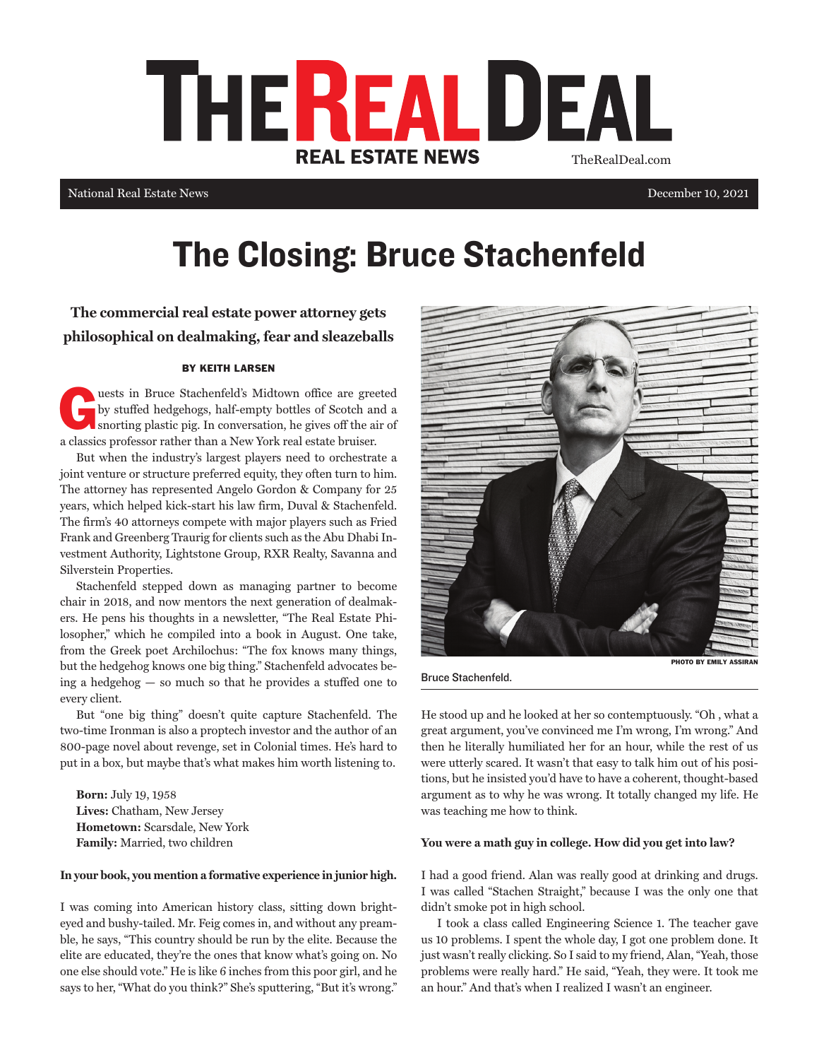

National Real Estate News

December 10, 2021

# The Closing: Bruce Stachenfeld

**The commercial real estate power attorney gets philosophical on dealmaking, fear and sleazeballs**

## BY KEITH LARSEN

Luests in Bruce Stachenfeld's Midtown office are greeted<br>by stuffed hedgehogs, half-empty bottles of Scotch and a<br>snorting plastic pig. In conversation, he gives off the air of<br>also shortly and a shortly be a New York and by stuffed hedgehogs, half-empty bottles of Scotch and a a classics professor rather than a New York real estate bruiser.

But when the industry's largest players need to orchestrate a joint venture or structure preferred equity, they often turn to him. The attorney has represented Angelo Gordon & Company for 25 years, which helped kick-start his law firm, Duval & Stachenfeld. The firm's 40 attorneys compete with major players such as Fried Frank and Greenberg Traurig for clients such as the Abu Dhabi Investment Authority, Lightstone Group, RXR Realty, Savanna and Silverstein Properties.

Stachenfeld stepped down as managing partner to become chair in 2018, and now mentors the next generation of dealmakers. He pens his thoughts in a newsletter, "The Real Estate Philosopher," which he compiled into a book in August. One take, from the Greek poet Archilochus: "The fox knows many things, but the hedgehog knows one big thing." Stachenfeld advocates being a hedgehog — so much so that he provides a stuffed one to every client.

But "one big thing" doesn't quite capture Stachenfeld. The two-time Ironman is also a proptech investor and the author of an 800-page novel about revenge, set in Colonial times. He's hard to put in a box, but maybe that's what makes him worth listening to.

**Born:** July 19, 1958 **Lives:** Chatham, New Jersey **Hometown:** Scarsdale, New York **Family:** Married, two children

#### **In your book, you mention a formative experience in junior high.**

I was coming into American history class, sitting down brighteyed and bushy-tailed. Mr. Feig comes in, and without any preamble, he says, "This country should be run by the elite. Because the elite are educated, they're the ones that know what's going on. No one else should vote." He is like 6 inches from this poor girl, and he says to her, "What do you think?" She's sputtering, "But it's wrong."



Bruce Stachenfeld.

PHOTO BY EMILY ASSIRAN

He stood up and he looked at her so contemptuously. "Oh , what a great argument, you've convinced me I'm wrong, I'm wrong." And then he literally humiliated her for an hour, while the rest of us were utterly scared. It wasn't that easy to talk him out of his positions, but he insisted you'd have to have a coherent, thought-based argument as to why he was wrong. It totally changed my life. He was teaching me how to think.

#### **You were a math guy in college. How did you get into law?**

I had a good friend. Alan was really good at drinking and drugs. I was called "Stachen Straight," because I was the only one that didn't smoke pot in high school.

I took a class called Engineering Science 1. The teacher gave us 10 problems. I spent the whole day, I got one problem done. It just wasn't really clicking. So I said to my friend, Alan, "Yeah, those problems were really hard." He said, "Yeah, they were. It took me an hour." And that's when I realized I wasn't an engineer.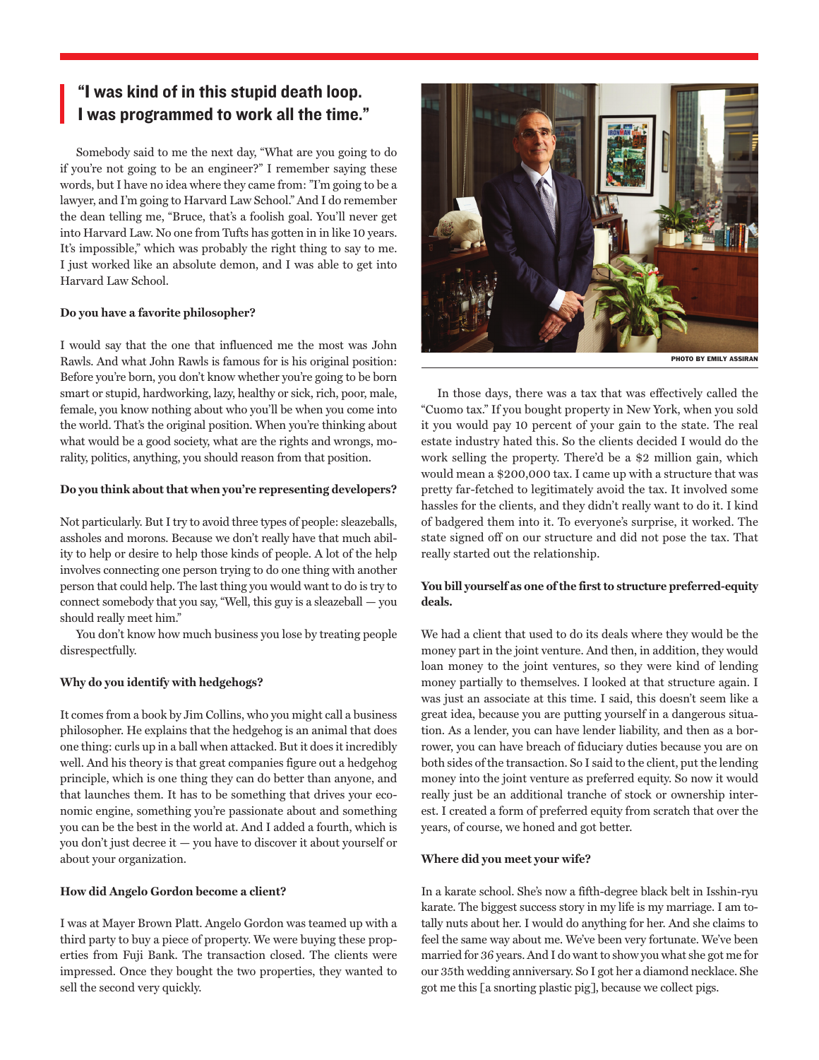## "I was kind of in this stupid death loop. I was programmed to work all the time."

Somebody said to me the next day, "What are you going to do if you're not going to be an engineer?" I remember saying these words, but I have no idea where they came from: "I'm going to be a lawyer, and I'm going to Harvard Law School." And I do remember the dean telling me, "Bruce, that's a foolish goal. You'll never get into Harvard Law. No one from Tufts has gotten in in like 10 years. It's impossible," which was probably the right thing to say to me. I just worked like an absolute demon, and I was able to get into Harvard Law School.

#### **Do you have a favorite philosopher?**

I would say that the one that influenced me the most was John Rawls. And what John Rawls is famous for is his original position: Before you're born, you don't know whether you're going to be born smart or stupid, hardworking, lazy, healthy or sick, rich, poor, male, female, you know nothing about who you'll be when you come into the world. That's the original position. When you're thinking about what would be a good society, what are the rights and wrongs, morality, politics, anything, you should reason from that position.

## **Do you think about that when you're representing developers?**

Not particularly. But I try to avoid three types of people: sleazeballs, assholes and morons. Because we don't really have that much ability to help or desire to help those kinds of people. A lot of the help involves connecting one person trying to do one thing with another person that could help. The last thing you would want to do is try to connect somebody that you say, "Well, this guy is a sleazeball — you should really meet him."

You don't know how much business you lose by treating people disrespectfully.

## **Why do you identify with hedgehogs?**

It comes from a book by Jim Collins, who you might call a business philosopher. He explains that the hedgehog is an animal that does one thing: curls up in a ball when attacked. But it does it incredibly well. And his theory is that great companies figure out a hedgehog principle, which is one thing they can do better than anyone, and that launches them. It has to be something that drives your economic engine, something you're passionate about and something you can be the best in the world at. And I added a fourth, which is you don't just decree it — you have to discover it about yourself or about your organization.

## **How did Angelo Gordon become a client?**

I was at Mayer Brown Platt. Angelo Gordon was teamed up with a third party to buy a piece of property. We were buying these properties from Fuji Bank. The transaction closed. The clients were impressed. Once they bought the two properties, they wanted to sell the second very quickly.



In those days, there was a tax that was effectively called the "Cuomo tax." If you bought property in New York, when you sold it you would pay 10 percent of your gain to the state. The real estate industry hated this. So the clients decided I would do the work selling the property. There'd be a \$2 million gain, which would mean a \$200,000 tax. I came up with a structure that was pretty far-fetched to legitimately avoid the tax. It involved some hassles for the clients, and they didn't really want to do it. I kind of badgered them into it. To everyone's surprise, it worked. The state signed off on our structure and did not pose the tax. That really started out the relationship.

## **You bill yourself as one of the first to structure preferred-equity deals.**

We had a client that used to do its deals where they would be the money part in the joint venture. And then, in addition, they would loan money to the joint ventures, so they were kind of lending money partially to themselves. I looked at that structure again. I was just an associate at this time. I said, this doesn't seem like a great idea, because you are putting yourself in a dangerous situation. As a lender, you can have lender liability, and then as a borrower, you can have breach of fiduciary duties because you are on both sides of the transaction. So I said to the client, put the lending money into the joint venture as preferred equity. So now it would really just be an additional tranche of stock or ownership interest. I created a form of preferred equity from scratch that over the years, of course, we honed and got better.

## **Where did you meet your wife?**

In a karate school. She's now a fifth-degree black belt in Isshin-ryu karate. The biggest success story in my life is my marriage. I am totally nuts about her. I would do anything for her. And she claims to feel the same way about me. We've been very fortunate. We've been married for 36 years. And I do want to show you what she got me for our 35th wedding anniversary. So I got her a diamond necklace. She got me this [a snorting plastic pig], because we collect pigs.